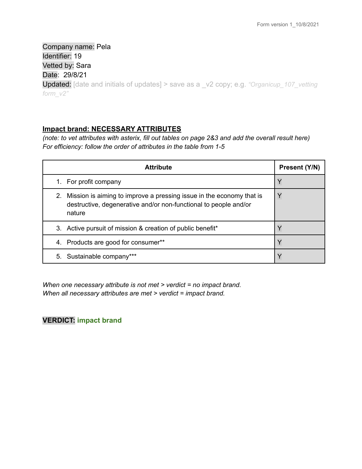Company name: Pela Identifier: 19 Vetted by: Sara Date: 29/8/21 Updated: [date and initials of updates] > save as a \_v2 copy; e.g. *"Organicup\_107\_vetting form\_v2"*

## **Impact brand: NECESSARY ATTRIBUTES**

(note: to vet attributes with asterix, fill out tables on page 2&3 and add the overall result here) *For efficiency: follow the order of attributes in the table from 1-5*

| <b>Attribute</b>                                                                                                                                      | Present (Y/N) |
|-------------------------------------------------------------------------------------------------------------------------------------------------------|---------------|
| 1. For profit company                                                                                                                                 |               |
| 2. Mission is aiming to improve a pressing issue in the economy that is<br>destructive, degenerative and/or non-functional to people and/or<br>nature |               |
| 3. Active pursuit of mission & creation of public benefit*                                                                                            |               |
| Products are good for consumer**<br>4.                                                                                                                |               |
| 5. Sustainable company***                                                                                                                             |               |

*When one necessary attribute is not met > verdict = no impact brand. When all necessary attributes are met > verdict = impact brand.*

# **VERDICT: impact brand**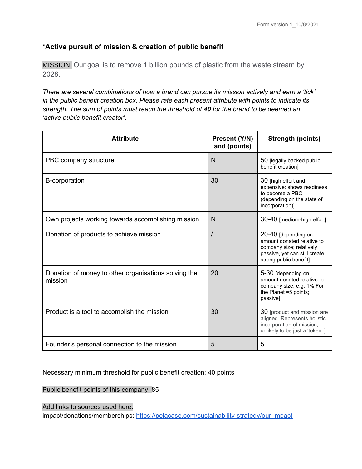# **\*Active pursuit of mission & creation of public benefit**

MISSION: Our goal is to remove 1 billion pounds of plastic from the waste stream by 2028.

*There are several combinations of how a brand can pursue its mission actively and earn a 'tick' in the public benefit creation box. Please rate each present attribute with points to indicate its strength. The sum of points must reach the threshold of 40 for the brand to be deemed an 'active public benefit creator'.*

| <b>Attribute</b>                                                | Present (Y/N)<br>and (points) | <b>Strength (points)</b>                                                                                                                 |
|-----------------------------------------------------------------|-------------------------------|------------------------------------------------------------------------------------------------------------------------------------------|
| PBC company structure                                           | N                             | 50 [legally backed public<br>benefit creation]                                                                                           |
| <b>B-corporation</b>                                            | 30                            | 30 [high effort and<br>expensive; shows readiness<br>to become a PBC<br>(depending on the state of<br>incorporation)]                    |
| Own projects working towards accomplishing mission              | N                             | 30-40 [medium-high effort]                                                                                                               |
| Donation of products to achieve mission                         |                               | 20-40 [depending on<br>amount donated relative to<br>company size; relatively<br>passive, yet can still create<br>strong public benefit] |
| Donation of money to other organisations solving the<br>mission | 20                            | 5-30 [depending on<br>amount donated relative to<br>company size, e.g. 1% For<br>the Planet =5 points;<br>passive]                       |
| Product is a tool to accomplish the mission                     | 30                            | 30 [product and mission are<br>aligned. Represents holistic<br>incorporation of mission,<br>unlikely to be just a 'token'.]              |
| Founder's personal connection to the mission                    | 5                             | 5                                                                                                                                        |

## Necessary minimum threshold for public benefit creation: 40 points

Public benefit points of this company: 85

Add links to sources used here:

impact/donations/memberships: <https://pelacase.com/sustainability-strategy/our-impact>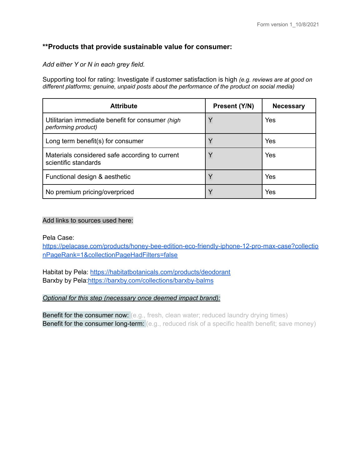## **\*\*Products that provide sustainable value for consumer:**

*Add either Y or N in each grey field.*

Supporting tool for rating: Investigate if customer satisfaction is high *(e.g. reviews are at good on different platforms; genuine, unpaid posts about the performance of the product on social media)*

| <b>Attribute</b>                                                        | Present (Y/N) | <b>Necessary</b> |
|-------------------------------------------------------------------------|---------------|------------------|
| Utilitarian immediate benefit for consumer (high<br>performing product) | $\checkmark$  | Yes              |
| Long term benefit(s) for consumer                                       |               | Yes              |
| Materials considered safe according to current<br>scientific standards  |               | Yes              |
| Functional design & aesthetic                                           |               | Yes              |
| No premium pricing/overpriced                                           |               | Yes              |

## Add links to sources used here:

#### Pela Case:

[https://pelacase.com/products/honey-bee-edition-eco-friendly-iphone-12-pro-max-case?collectio](https://pelacase.com/products/honey-bee-edition-eco-friendly-iphone-12-pro-max-case?collectionPageRank=1&collectionPageHadFilters=false) [nPageRank=1&collectionPageHadFilters=false](https://pelacase.com/products/honey-bee-edition-eco-friendly-iphone-12-pro-max-case?collectionPageRank=1&collectionPageHadFilters=false)

Habitat by Pela: <https://habitatbotanicals.com/products/deodorant> Barxby by Pela:<https://barxby.com/collections/barxby-balms>

## *Optional for this step (necessary once deemed impact brand):*

**Benefit for the consumer now:** (e.g., fresh, clean water; reduced laundry drying times) **Benefit for the consumer long-term:** (e.g., reduced risk of a specific health benefit; save money)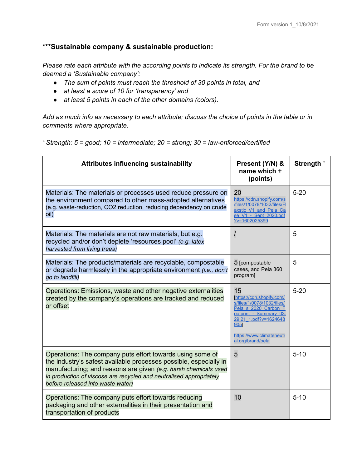# **\*\*\*Sustainable company & sustainable production:**

*Please rate each attribute with the according points to indicate its strength. For the brand to be deemed a 'Sustainable company':*

- *● The sum of points must reach the threshold of 30 points in total, and*
- *● at least a score of 10 for 'transparency' and*
- *● at least 5 points in each of the other domains (colors).*

Add as much info as necessary to each attribute; discuss the choice of points in the table or in *comments where appropriate.*

*<sup>+</sup> Strength: 5 = good; 10 = intermediate; 20 = strong; 30 = law-enforced/certified*

| <b>Attributes influencing sustainability</b>                                                                                                                                                                                                                                                                  | Present (Y/N) &<br>name which +<br>(points)                                                                                                                                                       | Strength <sup>+</sup> |
|---------------------------------------------------------------------------------------------------------------------------------------------------------------------------------------------------------------------------------------------------------------------------------------------------------------|---------------------------------------------------------------------------------------------------------------------------------------------------------------------------------------------------|-----------------------|
| Materials: The materials or processes used reduce pressure on<br>the environment compared to other mass-adopted alternatives<br>(e.g. waste-reduction, CO2 reduction, reducing dependency on crude<br>oil)                                                                                                    | 20<br>https://cdn.shopify.com/s<br>/files/1/0078/1032/files/FI<br>axstic V1 and Pela Ca<br>se V1 - Sept 2020.pdf<br>$?v=1602025399$                                                               | $5 - 20$              |
| Materials: The materials are not raw materials, but e.g.<br>recycled and/or don't deplete 'resources pool' (e.g. latex<br>harvested from living trees)                                                                                                                                                        | $\prime$                                                                                                                                                                                          | 5                     |
| Materials: The products/materials are recyclable, compostable<br>or degrade harmlessly in the appropriate environment (i.e., don't<br>go to landfill)                                                                                                                                                         | 5 [compostable<br>cases, and Pela 360<br>program]                                                                                                                                                 | 5                     |
| Operations: Emissions, waste and other negative externalities<br>created by the company's operations are tracked and reduced<br>or offset                                                                                                                                                                     | 15<br>[https://cdn.shopify.com/<br>s/files/1/0078/1032/files/<br>Pela s 2020 Carbon F<br>ootprint - Summary 03.<br>29.21 1.pdf?v=1624648<br>9051<br>https://www.climateneutr<br>al.org/brand/pela | $5 - 20$              |
| Operations: The company puts effort towards using some of<br>the industry's safest available processes possible, especially in<br>manufacturing; and reasons are given (e.g. harsh chemicals used<br>in production of viscose are recycled and neutralised appropriately<br>before released into waste water) | 5                                                                                                                                                                                                 | $5 - 10$              |
| Operations: The company puts effort towards reducing<br>packaging and other externalities in their presentation and<br>transportation of products                                                                                                                                                             | 10                                                                                                                                                                                                | $5 - 10$              |